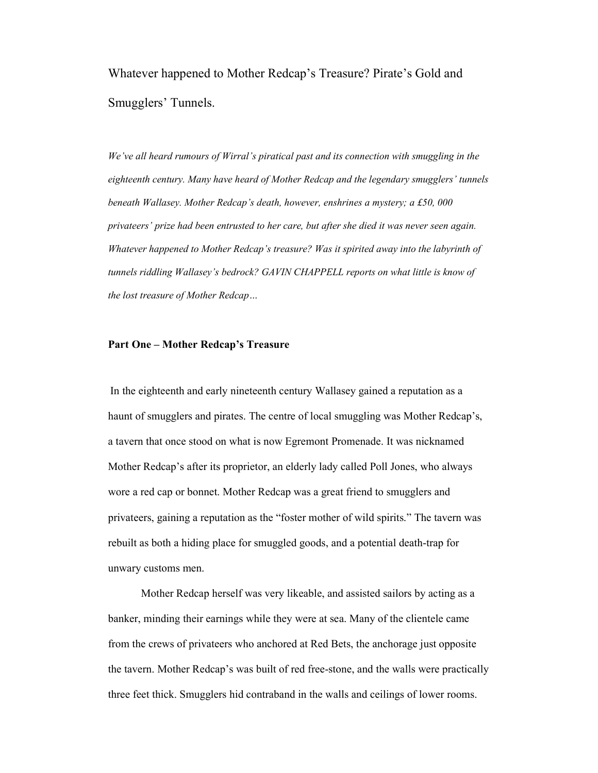Whatever happened to Mother Redcap's Treasure? Pirate's Gold and Smugglers' Tunnels.

*We've all heard rumours of Wirral's piratical past and its connection with smuggling in the eighteenth century. Many have heard of Mother Redcap and the legendary smugglers' tunnels beneath Wallasey. Mother Redcap's death, however, enshrines a mystery; a £50, 000 privateers' prize had been entrusted to her care, but after she died it was never seen again. Whatever happened to Mother Redcap's treasure? Was it spirited away into the labyrinth of tunnels riddling Wallasey's bedrock? GAVIN CHAPPELL reports on what little is know of the lost treasure of Mother Redcap…* 

## **Part One – Mother Redcap's Treasure**

In the eighteenth and early nineteenth century Wallasey gained a reputation as a haunt of smugglers and pirates. The centre of local smuggling was Mother Redcap's, a tavern that once stood on what is now Egremont Promenade. It was nicknamed Mother Redcap's after its proprietor, an elderly lady called Poll Jones, who always wore a red cap or bonnet. Mother Redcap was a great friend to smugglers and privateers, gaining a reputation as the "foster mother of wild spirits." The tavern was rebuilt as both a hiding place for smuggled goods, and a potential death-trap for unwary customs men.

Mother Redcap herself was very likeable, and assisted sailors by acting as a banker, minding their earnings while they were at sea. Many of the clientele came from the crews of privateers who anchored at Red Bets, the anchorage just opposite the tavern. Mother Redcap's was built of red free-stone, and the walls were practically three feet thick. Smugglers hid contraband in the walls and ceilings of lower rooms.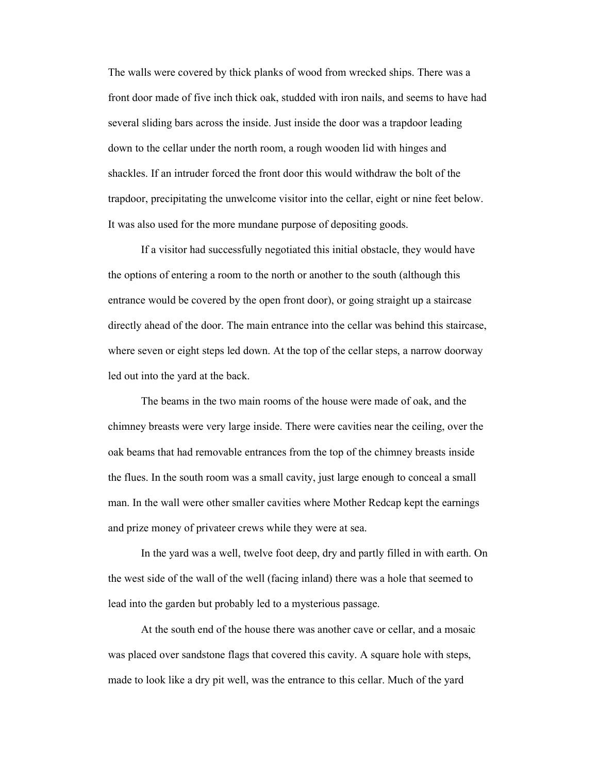The walls were covered by thick planks of wood from wrecked ships. There was a front door made of five inch thick oak, studded with iron nails, and seems to have had several sliding bars across the inside. Just inside the door was a trapdoor leading down to the cellar under the north room, a rough wooden lid with hinges and shackles. If an intruder forced the front door this would withdraw the bolt of the trapdoor, precipitating the unwelcome visitor into the cellar, eight or nine feet below. It was also used for the more mundane purpose of depositing goods.

If a visitor had successfully negotiated this initial obstacle, they would have the options of entering a room to the north or another to the south (although this entrance would be covered by the open front door), or going straight up a staircase directly ahead of the door. The main entrance into the cellar was behind this staircase, where seven or eight steps led down. At the top of the cellar steps, a narrow doorway led out into the yard at the back.

The beams in the two main rooms of the house were made of oak, and the chimney breasts were very large inside. There were cavities near the ceiling, over the oak beams that had removable entrances from the top of the chimney breasts inside the flues. In the south room was a small cavity, just large enough to conceal a small man. In the wall were other smaller cavities where Mother Redcap kept the earnings and prize money of privateer crews while they were at sea.

In the yard was a well, twelve foot deep, dry and partly filled in with earth. On the west side of the wall of the well (facing inland) there was a hole that seemed to lead into the garden but probably led to a mysterious passage.

At the south end of the house there was another cave or cellar, and a mosaic was placed over sandstone flags that covered this cavity. A square hole with steps, made to look like a dry pit well, was the entrance to this cellar. Much of the yard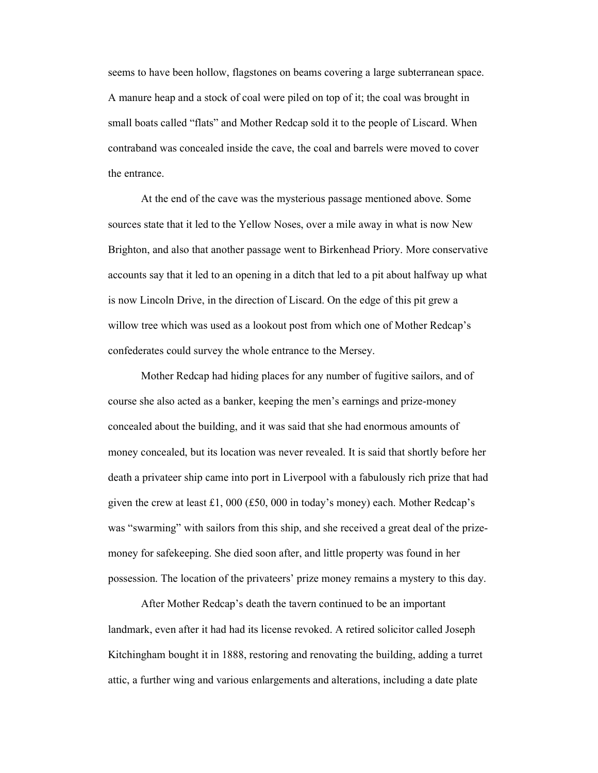seems to have been hollow, flagstones on beams covering a large subterranean space. A manure heap and a stock of coal were piled on top of it; the coal was brought in small boats called "flats" and Mother Redcap sold it to the people of Liscard. When contraband was concealed inside the cave, the coal and barrels were moved to cover the entrance.

At the end of the cave was the mysterious passage mentioned above. Some sources state that it led to the Yellow Noses, over a mile away in what is now New Brighton, and also that another passage went to Birkenhead Priory. More conservative accounts say that it led to an opening in a ditch that led to a pit about halfway up what is now Lincoln Drive, in the direction of Liscard. On the edge of this pit grew a willow tree which was used as a lookout post from which one of Mother Redcap's confederates could survey the whole entrance to the Mersey.

Mother Redcap had hiding places for any number of fugitive sailors, and of course she also acted as a banker, keeping the men's earnings and prize-money concealed about the building, and it was said that she had enormous amounts of money concealed, but its location was never revealed. It is said that shortly before her death a privateer ship came into port in Liverpool with a fabulously rich prize that had given the crew at least £1, 000 (£50, 000 in today's money) each. Mother Redcap's was "swarming" with sailors from this ship, and she received a great deal of the prizemoney for safekeeping. She died soon after, and little property was found in her possession. The location of the privateers' prize money remains a mystery to this day.

After Mother Redcap's death the tavern continued to be an important landmark, even after it had had its license revoked. A retired solicitor called Joseph Kitchingham bought it in 1888, restoring and renovating the building, adding a turret attic, a further wing and various enlargements and alterations, including a date plate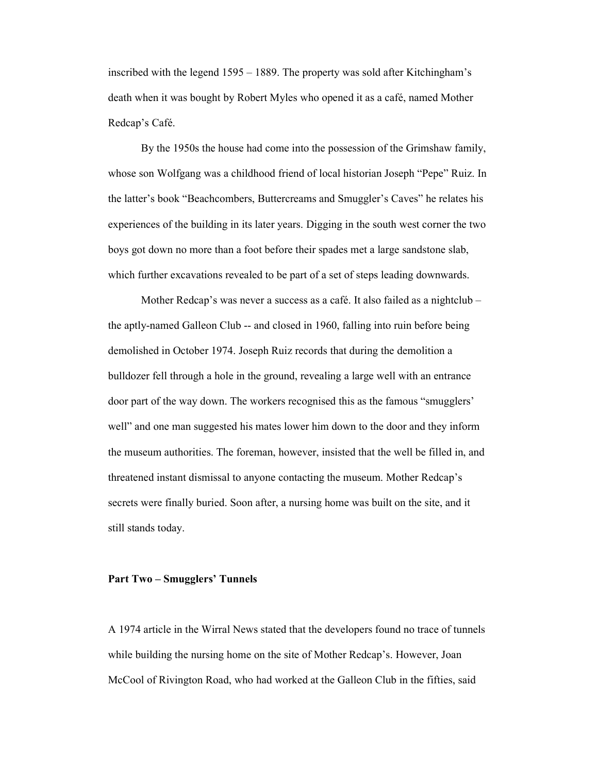inscribed with the legend 1595 – 1889. The property was sold after Kitchingham's death when it was bought by Robert Myles who opened it as a café, named Mother Redcap's Café.

By the 1950s the house had come into the possession of the Grimshaw family, whose son Wolfgang was a childhood friend of local historian Joseph "Pepe" Ruiz. In the latter's book "Beachcombers, Buttercreams and Smuggler's Caves" he relates his experiences of the building in its later years. Digging in the south west corner the two boys got down no more than a foot before their spades met a large sandstone slab, which further excavations revealed to be part of a set of steps leading downwards.

Mother Redcap's was never a success as a café. It also failed as a nightclub – the aptly-named Galleon Club -- and closed in 1960, falling into ruin before being demolished in October 1974. Joseph Ruiz records that during the demolition a bulldozer fell through a hole in the ground, revealing a large well with an entrance door part of the way down. The workers recognised this as the famous "smugglers' well" and one man suggested his mates lower him down to the door and they inform the museum authorities. The foreman, however, insisted that the well be filled in, and threatened instant dismissal to anyone contacting the museum. Mother Redcap's secrets were finally buried. Soon after, a nursing home was built on the site, and it still stands today.

## **Part Two – Smugglers' Tunnels**

A 1974 article in the Wirral News stated that the developers found no trace of tunnels while building the nursing home on the site of Mother Redcap's. However, Joan McCool of Rivington Road, who had worked at the Galleon Club in the fifties, said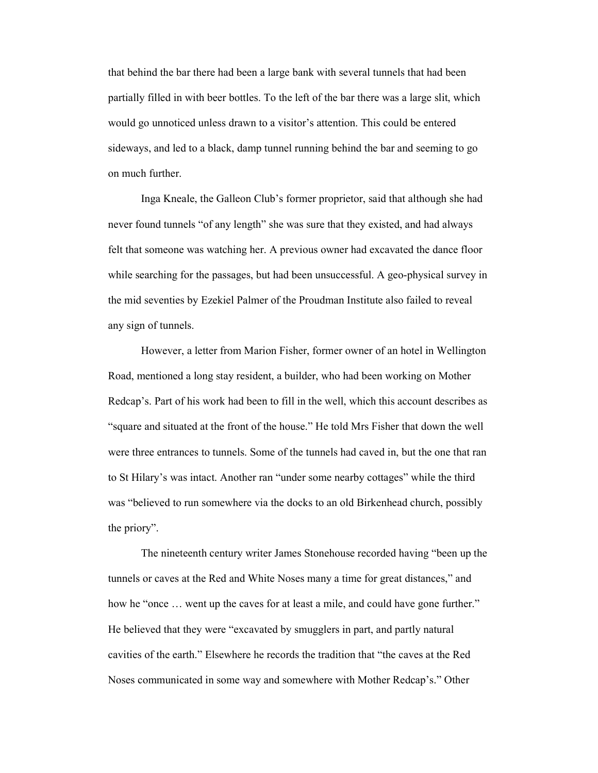that behind the bar there had been a large bank with several tunnels that had been partially filled in with beer bottles. To the left of the bar there was a large slit, which would go unnoticed unless drawn to a visitor's attention. This could be entered sideways, and led to a black, damp tunnel running behind the bar and seeming to go on much further.

Inga Kneale, the Galleon Club's former proprietor, said that although she had never found tunnels "of any length" she was sure that they existed, and had always felt that someone was watching her. A previous owner had excavated the dance floor while searching for the passages, but had been unsuccessful. A geo-physical survey in the mid seventies by Ezekiel Palmer of the Proudman Institute also failed to reveal any sign of tunnels.

However, a letter from Marion Fisher, former owner of an hotel in Wellington Road, mentioned a long stay resident, a builder, who had been working on Mother Redcap's. Part of his work had been to fill in the well, which this account describes as "square and situated at the front of the house." He told Mrs Fisher that down the well were three entrances to tunnels. Some of the tunnels had caved in, but the one that ran to St Hilary's was intact. Another ran "under some nearby cottages" while the third was "believed to run somewhere via the docks to an old Birkenhead church, possibly the priory".

The nineteenth century writer James Stonehouse recorded having "been up the tunnels or caves at the Red and White Noses many a time for great distances," and how he "once ... went up the caves for at least a mile, and could have gone further." He believed that they were "excavated by smugglers in part, and partly natural cavities of the earth." Elsewhere he records the tradition that "the caves at the Red Noses communicated in some way and somewhere with Mother Redcap's." Other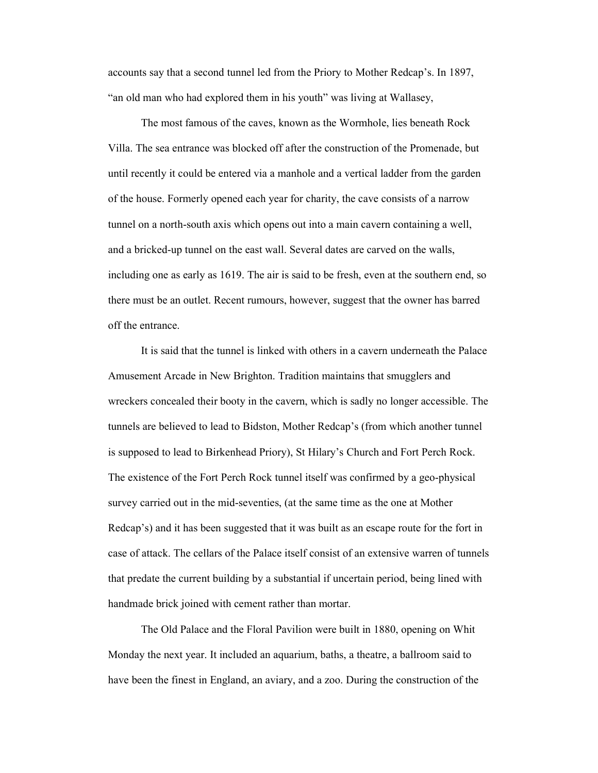accounts say that a second tunnel led from the Priory to Mother Redcap's. In 1897, "an old man who had explored them in his youth" was living at Wallasey,

The most famous of the caves, known as the Wormhole, lies beneath Rock Villa. The sea entrance was blocked off after the construction of the Promenade, but until recently it could be entered via a manhole and a vertical ladder from the garden of the house. Formerly opened each year for charity, the cave consists of a narrow tunnel on a north-south axis which opens out into a main cavern containing a well, and a bricked-up tunnel on the east wall. Several dates are carved on the walls, including one as early as 1619. The air is said to be fresh, even at the southern end, so there must be an outlet. Recent rumours, however, suggest that the owner has barred off the entrance.

It is said that the tunnel is linked with others in a cavern underneath the Palace Amusement Arcade in New Brighton. Tradition maintains that smugglers and wreckers concealed their booty in the cavern, which is sadly no longer accessible. The tunnels are believed to lead to Bidston, Mother Redcap's (from which another tunnel is supposed to lead to Birkenhead Priory), St Hilary's Church and Fort Perch Rock. The existence of the Fort Perch Rock tunnel itself was confirmed by a geo-physical survey carried out in the mid-seventies, (at the same time as the one at Mother Redcap's) and it has been suggested that it was built as an escape route for the fort in case of attack. The cellars of the Palace itself consist of an extensive warren of tunnels that predate the current building by a substantial if uncertain period, being lined with handmade brick joined with cement rather than mortar.

The Old Palace and the Floral Pavilion were built in 1880, opening on Whit Monday the next year. It included an aquarium, baths, a theatre, a ballroom said to have been the finest in England, an aviary, and a zoo. During the construction of the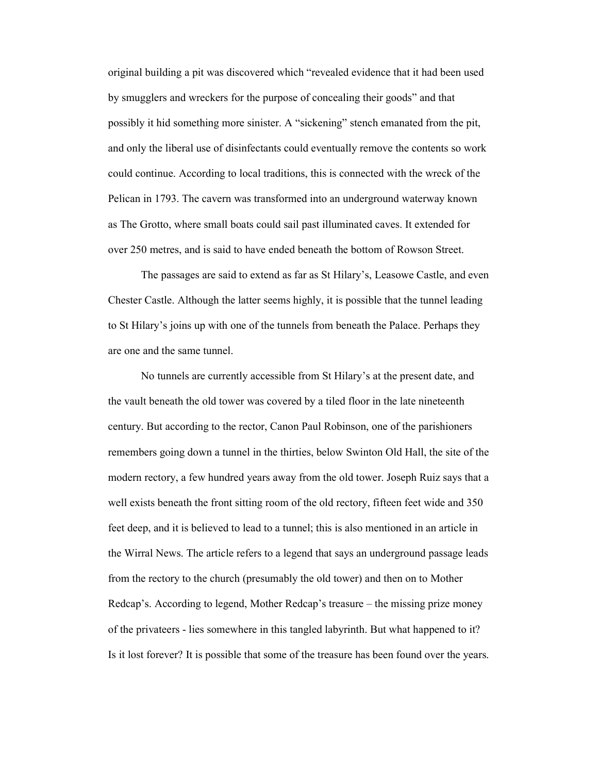original building a pit was discovered which "revealed evidence that it had been used by smugglers and wreckers for the purpose of concealing their goods" and that possibly it hid something more sinister. A "sickening" stench emanated from the pit, and only the liberal use of disinfectants could eventually remove the contents so work could continue. According to local traditions, this is connected with the wreck of the Pelican in 1793. The cavern was transformed into an underground waterway known as The Grotto, where small boats could sail past illuminated caves. It extended for over 250 metres, and is said to have ended beneath the bottom of Rowson Street.

The passages are said to extend as far as St Hilary's, Leasowe Castle, and even Chester Castle. Although the latter seems highly, it is possible that the tunnel leading to St Hilary's joins up with one of the tunnels from beneath the Palace. Perhaps they are one and the same tunnel.

No tunnels are currently accessible from St Hilary's at the present date, and the vault beneath the old tower was covered by a tiled floor in the late nineteenth century. But according to the rector, Canon Paul Robinson, one of the parishioners remembers going down a tunnel in the thirties, below Swinton Old Hall, the site of the modern rectory, a few hundred years away from the old tower. Joseph Ruiz says that a well exists beneath the front sitting room of the old rectory, fifteen feet wide and 350 feet deep, and it is believed to lead to a tunnel; this is also mentioned in an article in the Wirral News. The article refers to a legend that says an underground passage leads from the rectory to the church (presumably the old tower) and then on to Mother Redcap's. According to legend, Mother Redcap's treasure – the missing prize money of the privateers - lies somewhere in this tangled labyrinth. But what happened to it? Is it lost forever? It is possible that some of the treasure has been found over the years.